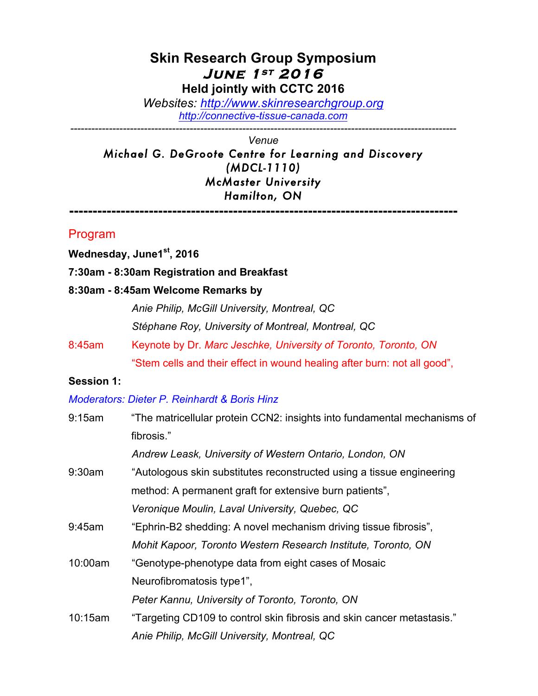# **Skin Research Group Symposium June 1st 2016 Held jointly with CCTC 2016**

*Websites: http://www.skinresearchgroup.org http://connective-tissue-canada.com*

*-------------------------------------------------------------------------------------------------------------- Venue*

*Michael G. DeGroote Centre for Learning and Discovery (MDCL-1110) McMaster University Hamilton, ON*

**-----------------------------------------------------------------------------------**

## Program

**Wednesday, June1st, 2016**

#### **7:30am - 8:30am Registration and Breakfast**

#### **8:30am - 8:45am Welcome Remarks by**

*Anie Philip, McGill University, Montreal, QC Stéphane Roy, University of Montreal, Montreal, QC*

8:45am Keynote by Dr. *Marc Jeschke, University of Toronto, Toronto, ON*  "Stem cells and their effect in wound healing after burn: not all good",

#### **Session 1:**

#### *Moderators: Dieter P. Reinhardt & Boris Hinz*

| 9:15am  | "The matricellular protein CCN2: insights into fundamental mechanisms of |  |  |
|---------|--------------------------------------------------------------------------|--|--|
|         | fibrosis."                                                               |  |  |
|         | Andrew Leask, University of Western Ontario, London, ON                  |  |  |
| 9:30am  | "Autologous skin substitutes reconstructed using a tissue engineering    |  |  |
|         | method: A permanent graft for extensive burn patients",                  |  |  |
|         | Veronique Moulin, Laval University, Quebec, QC                           |  |  |
| 9:45am  | "Ephrin-B2 shedding: A novel mechanism driving tissue fibrosis",         |  |  |
|         | Mohit Kapoor, Toronto Western Research Institute, Toronto, ON            |  |  |
| 10:00am | "Genotype-phenotype data from eight cases of Mosaic                      |  |  |
|         | Neurofibromatosis type1",                                                |  |  |
|         | Peter Kannu, University of Toronto, Toronto, ON                          |  |  |
| 10:15am | "Targeting CD109 to control skin fibrosis and skin cancer metastasis."   |  |  |
|         | Anie Philip, McGill University, Montreal, QC                             |  |  |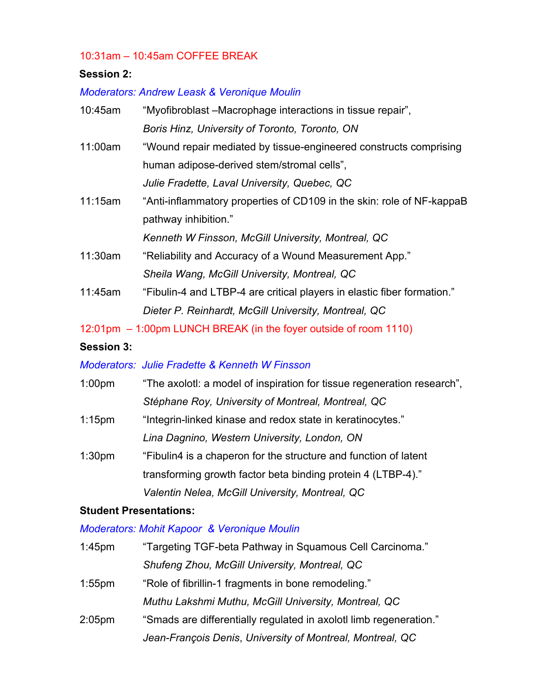#### 10:31am – 10:45am COFFEE BREAK

### **Session 2:**

# *Moderators: Andrew Leask & Veronique Moulin*

| 10:45am | "Myofibroblast – Macrophage interactions in tissue repair",             |
|---------|-------------------------------------------------------------------------|
|         | Boris Hinz, University of Toronto, Toronto, ON                          |
| 11:00am | "Wound repair mediated by tissue-engineered constructs comprising       |
|         | human adipose-derived stem/stromal cells",                              |
|         | Julie Fradette, Laval University, Quebec, QC                            |
| 11:15am | "Anti-inflammatory properties of CD109 in the skin: role of NF-kappaB   |
|         | pathway inhibition."                                                    |
|         | Kenneth W Finsson, McGill University, Montreal, QC                      |
| 11:30am | "Reliability and Accuracy of a Wound Measurement App."                  |
|         | Sheila Wang, McGill University, Montreal, QC                            |
| 11:45am | "Fibulin-4 and LTBP-4 are critical players in elastic fiber formation." |
|         | Dieter P. Reinhardt, McGill University, Montreal, QC                    |

12:01pm – 1:00pm LUNCH BREAK (in the foyer outside of room 1110)

#### **Session 3:**

## *Moderators: Julie Fradette & Kenneth W Finsson*

| 1:00 <sub>pm</sub> | "The axolotl: a model of inspiration for tissue regeneration research", |  |  |
|--------------------|-------------------------------------------------------------------------|--|--|
|                    | Stéphane Roy, University of Montreal, Montreal, QC                      |  |  |
| $1:15$ pm          | "Integrin-linked kinase and redox state in keratinocytes."              |  |  |
|                    | Lina Dagnino, Western University, London, ON                            |  |  |
| 1:30 <sub>pm</sub> | "Fibulin4 is a chaperon for the structure and function of latent        |  |  |
|                    | transforming growth factor beta binding protein 4 (LTBP-4)."            |  |  |
|                    | Valentin Nelea, McGill University, Montreal, QC                         |  |  |

#### **Student Presentations:**

## *Moderators: Mohit Kapoor & Veronique Moulin*

| $1:45$ pm          | "Targeting TGF-beta Pathway in Squamous Cell Carcinoma."           |  |
|--------------------|--------------------------------------------------------------------|--|
|                    | Shufeng Zhou, McGill University, Montreal, QC                      |  |
| $1:55$ pm          | "Role of fibrillin-1 fragments in bone remodeling."                |  |
|                    | Muthu Lakshmi Muthu, McGill University, Montreal, QC               |  |
| 2:05 <sub>pm</sub> | "Smads are differentially regulated in axolot llimb regeneration." |  |
|                    | Jean-François Denis, University of Montreal, Montreal, QC          |  |